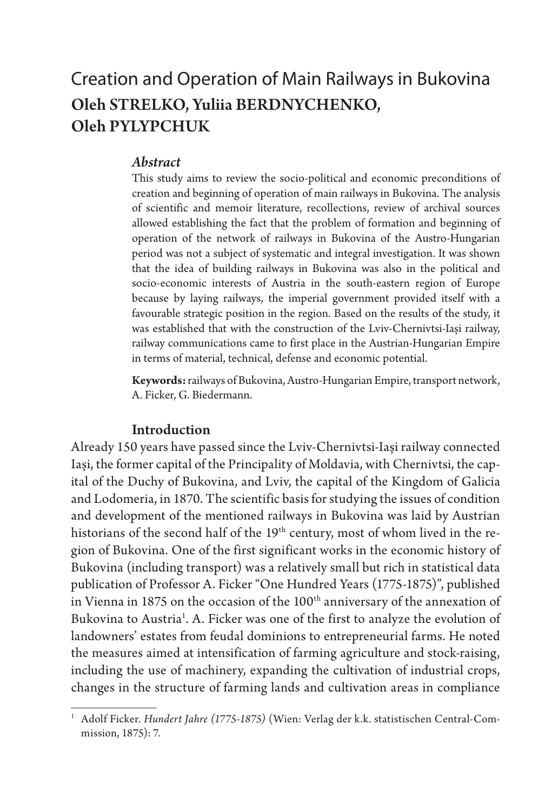### Creation and Operation of Main Railways in Bukovina Oleh STRELKO, Yuliia BERDNYCHENKO, Oleh PYLYPCHUK

#### *Abstract*

This study aims to review the socio-political and economic preconditions of creation and beginning of operation of main railways in Bukovina. The analysis of scientific and memoir literature, recollections, review of archival sources allowed establishing the fact that the problem of formation and beginning of operation of the network of railways in Bukovina of the Austro-Hungarian period was not a subject of systematic and integral investigation. It was shown that the idea of building railways in Bukovina was also in the political and socio-economic interests of Austria in the south-eastern region of Europe because by laying railways, the imperial government provided itself with a favourable strategic position in the region. Based on the results of the study, it was established that with the construction of the Lviv-Chernivtsi-Iași railway, railway communications came to first place in the Austrian-Hungarian Empire in terms of material, technical, defense and economic potential.

**Keywords:** railways of Bukovina, Austro-Hungarian Empire, transport network, A. Ficker, G. Biedermann.

### Introduction

Already 150 years have passed since the Lviv-Chernivtsi-Iași railway connected Iași, the former capital of the Principality of Moldavia, with Chernivtsi, the capital of the Duchy of Bukovina, and Lviv, the capital of the Kingdom of Galicia and Lodomeria, in 1870. The scientific basis for studying the issues of condition and development of the mentioned railways in Bukovina was laid by Austrian historians of the second half of the 19<sup>th</sup> century, most of whom lived in the region of Bukovina. One of the first significant works in the economic history of Bukovina (including transport) was a relatively small but rich in statistical data publication of Professor A. Ficker "One Hundred Years (1775-1875)", published in Vienna in 1875 on the occasion of the  $100<sup>th</sup>$  anniversary of the annexation of Bukovina to Austria<sup>1</sup>. A. Ficker was one of the first to analyze the evolution of landowners' estates from feudal dominions to entrepreneurial farms. He noted the measures aimed at intensification of farming agriculture and stock-raising, including the use of machinery, expanding the cultivation of industrial crops, changes in the structure of farming lands and cultivation areas in compliance

<sup>1</sup> Adolf Ficker. *Hundert Jahre (1775-1875)* (Wien: Verlag der k.k. statistischen Central-Commission, 1875): 7.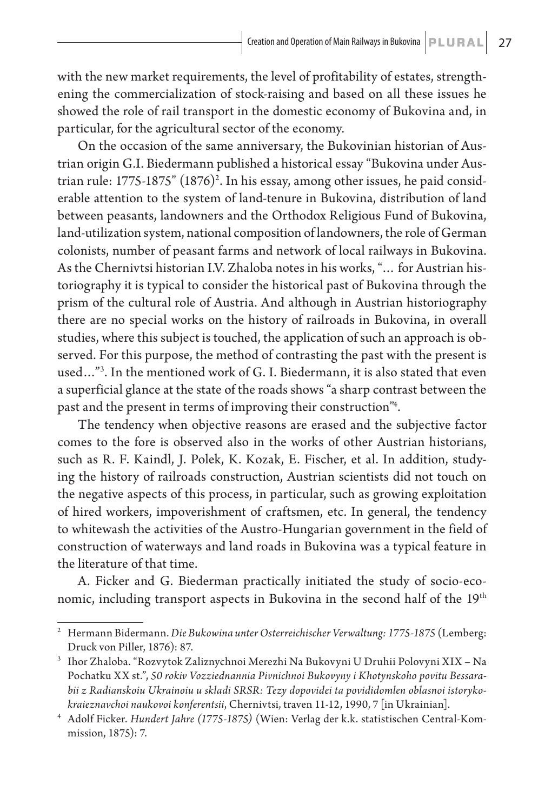with the new market requirements, the level of profitability of estates, strengthening the commercialization of stock-raising and based on all these issues he showed the role of rail transport in the domestic economy of Bukovina and, in particular, for the agricultural sector of the economy.

On the occasion of the same anniversary, the Bukovinian historian of Austrian origin G.I. Biedermann published a historical essay "Bukovina under Austrian rule: 1775-1875" (1876)<sup>2</sup>. In his essay, among other issues, he paid considerable attention to the system of land-tenure in Bukovina, distribution of land between peasants, landowners and the Orthodox Religious Fund of Bukovina, land-utilization system, national composition of landowners, the role of German colonists, number of peasant farms and network of local railways in Bukovina. As the Chernivtsi historian I.V. Zhaloba notes in his works, "… for Austrian historiography it is typical to consider the historical past of Bukovina through the prism of the cultural role of Austria. And although in Austrian historiography there are no special works on the history of railroads in Bukovina, in overall studies, where this subject is touched, the application of such an approach is observed. For this purpose, the method of contrasting the past with the present is used…"3 . In the mentioned work of G. I. Biedermann, it is also stated that even a superficial glance at the state of the roads shows "a sharp contrast between the past and the present in terms of improving their construction"4 .

The tendency when objective reasons are erased and the subjective factor comes to the fore is observed also in the works of other Austrian historians, such as R. F. Kaindl, J. Polek, K. Kozak, E. Fischer, et al. In addition, studying the history of railroads construction, Austrian scientists did not touch on the negative aspects of this process, in particular, such as growing exploitation of hired workers, impoverishment of craftsmen, etc. In general, the tendency to whitewash the activities of the Austro-Hungarian government in the field of construction of waterways and land roads in Bukovina was a typical feature in the literature of that time.

A. Ficker and G. Biederman practically initiated the study of socio-economic, including transport aspects in Bukovina in the second half of the 19<sup>th</sup>

<sup>2</sup> Hermann Bidermann. *Die Bukowina unter Osterreichischer Verwaltung: 1775-1875* (Lemberg: Druck von Piller, 1876): 87.

<sup>3</sup> Ihor Zhaloba. "Rozvytok Zaliznychnoi Merezhi Na Bukovyni U Druhii Polovyni ХIХ – Na Pochatku ХХ st.", *50 rokiv Vozziednannia Pivnichnoi Bukovyny i Khotynskoho povitu Bessarabii z Radianskoiu Ukrainoiu u skladi SRSR: Tezy dopovidei ta povididomlen oblasnoi istorykokraieznavchoi naukovoi konferentsii*, Chernivtsi, traven 11-12, 1990, 7 [in Ukrainian].

<sup>4</sup> Adolf Ficker. *Hundert Jahre (1775-1875)* (Wien: Verlag der k.k. statistischen Central-Kommission, 1875): 7.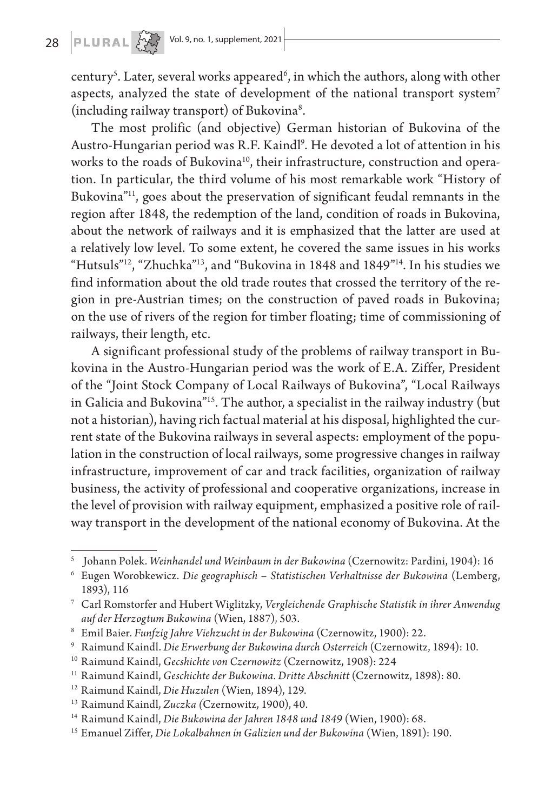# 28 **PLURAL**  $\left\{\begin{matrix} 1 & 0 \\ 0 & 0 \end{matrix}\right\}$  Vol. 9, no. 1, supplement, 2021

century<sup>5</sup>. Later, several works appeared<sup>6</sup>, in which the authors, along with other aspects, analyzed the state of development of the national transport system<sup>7</sup> (including railway transport) of Bukovina<sup>8</sup>.

The most prolific (and objective) German historian of Bukovina of the Austro-Hungarian period was R.F. Kaindl<sup>9</sup>. He devoted a lot of attention in his works to the roads of Bukovina<sup>10</sup>, their infrastructure, construction and operation. In particular, the third volume of his most remarkable work "History of Bukovina"11, goes about the preservation of significant feudal remnants in the region after 1848, the redemption of the land, condition of roads in Bukovina, about the network of railways and it is emphasized that the latter are used at a relatively low level. To some extent, he covered the same issues in his works "Hutsuls"12, "Zhuchka"13, and "Bukovina in 1848 and 1849"14. In his studies we find information about the old trade routes that crossed the territory of the region in pre-Austrian times; on the construction of paved roads in Bukovina; on the use of rivers of the region for timber floating; time of commissioning of railways, their length, etc.

A significant professional study of the problems of railway transport in Bukovina in the Austro-Hungarian period was the work of E.A. Ziffer, President of the "Joint Stock Company of Local Railways of Bukovina", "Local Railways in Galicia and Bukovina"15. The author, a specialist in the railway industry (but not a historian), having rich factual material at his disposal, highlighted the current state of the Bukovina railways in several aspects: employment of the population in the construction of local railways, some progressive changes in railway infrastructure, improvement of car and track facilities, organization of railway business, the activity of professional and cooperative organizations, increase in the level of provision with railway equipment, emphasized a positive role of railway transport in the development of the national economy of Bukovina. At the

<sup>5</sup> Johann Polek. *Weinhandel und Weinbaum in der Bukowina* (Czernowitz: Pardini, 1904): 16

<sup>6</sup> Eugen Worobkewicz. *Die geographisch – Statistischen Verhaltnisse der Bukowina* (Lemberg, 1893), 116

<sup>7</sup> Carl Romstorfer and Hubert Wiglitzky, *Vergleichende Graphische Statistik in ihrer Anwendug auf der Herzogtum Bukowina* (Wien, 1887), 503.

<sup>8</sup> Emil Baier. *Funfzig Jahre Viehzucht in der Bukowina* (Czernowitz, 1900): 22.

<sup>9</sup> Raimund Kaindl. *Die Erwerbung der Bukowina durch Osterreich* (Czernowitz, 1894): 10.

<sup>10</sup> Raimund Kaindl, *Gecshichte von Czernowitz* (Czernowitz, 1908): 224

<sup>11</sup> Raimund Kaindl, *Geschichte der Bukowina. Dritte Abschnitt* (Czernowitz, 1898): 80.

<sup>12</sup> Raimund Kaindl, *Die Huzulen* (Wien, 1894), 129.

<sup>13</sup> Raimund Kaindl, *Zuczka (*Czernowitz, 1900), 40.

<sup>14</sup> Raimund Kaindl, *Die Bukowina der Jahren 1848 und 1849* (Wien, 1900): 68.

<sup>15</sup> Emanuel Ziffer, *Die Lokalbahnen in Galizien und der Bukowina* (Wien, 1891): 190.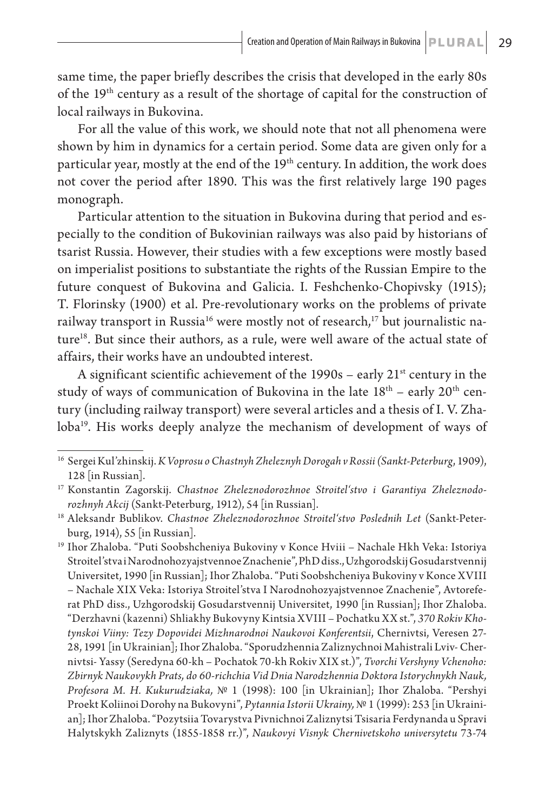same time, the paper briefly describes the crisis that developed in the early 80s of the 19th century as a result of the shortage of capital for the construction of local railways in Bukovina.

For all the value of this work, we should note that not all phenomena were shown by him in dynamics for a certain period. Some data are given only for a particular year, mostly at the end of the 19<sup>th</sup> century. In addition, the work does not cover the period after 1890. This was the first relatively large 190 pages monograph.

Particular attention to the situation in Bukovina during that period and especially to the condition of Bukovinian railways was also paid by historians of tsarist Russia. However, their studies with a few exceptions were mostly based on imperialist positions to substantiate the rights of the Russian Empire to the future conquest of Bukovina and Galicia. I. Feshchenko-Chopivsky (1915); T. Florinsky (1900) et al. Pre-revolutionary works on the problems of private railway transport in Russia<sup>16</sup> were mostly not of research,<sup>17</sup> but journalistic nature<sup>18</sup>. But since their authors, as a rule, were well aware of the actual state of affairs, their works have an undoubted interest.

A significant scientific achievement of the  $1990s$  – early  $21^{st}$  century in the study of ways of communication of Bukovina in the late  $18<sup>th</sup>$  – early  $20<sup>th</sup>$  century (including railway transport) were several articles and a thesis of I. V. Zhaloba<sup>19</sup>. His works deeply analyze the mechanism of development of ways of

<sup>16</sup> Sergei Kul'zhinskij. *K Voprosu o Chastnyh Zheleznyh Dorogah v Rossii (Sankt-Peterburg*, 1909), 128 [in Russian].

<sup>17</sup> Konstantin Zagorskij. *Chastnoe Zheleznodorozhnoe Stroitel'stvo i Garantiya Zheleznodorozhnyh Akcij* (Sankt-Peterburg, 1912), 54 [in Russian].

<sup>18</sup> Aleksandr Bublikov. *Chastnoe Zheleznodorozhnoe Stroitel'stvo Poslednih Let* (Sankt-Peterburg, 1914), 55 [in Russian].

<sup>19</sup> Ihor Zhaloba. "Puti Soobshcheniya Bukoviny v Konce Hvііі – Nachale Hkh Veka: Istoriya Stroitel'stva i Narodnohozyajstvennoe Znachenie", PhD diss., Uzhgorodskij Gosudarstvennіj Universitet, 1990 [in Russian]; Ihor Zhaloba. "Puti Soobshcheniya Bukoviny v Konce ХVІІІ – Nachale ХІХ Veka: Istoriya Stroitel'stva I Narodnohozyajstvennoe Znachenie", Avtoreferat PhD diss., Uzhgorodskij Gosudarstvennіj Universitet, 1990 [in Russian]; Ihor Zhaloba. "Derzhavni (kazenni) Shliakhy Bukovyny Kintsia ХVIII – Pochatku ХХ st.", *370 Rokiv Khotynskoi Viiny: Tezy Dopovidei Mizhnarodnoi Naukovoi Konferentsii*, Chernivtsi, Veresen 27- 28, 1991 [in Ukrainian]; Ihor Zhaloba. "Sporudzhennia Zaliznychnoi Mahistrali Lviv- Chernivtsi- Yassy (Seredyna 60-kh – Pochatok 70-kh Rokiv ХIХ st.)", *Tvorchi Vershyny Vchenoho: Zbirnyk Naukovykh Prats, do 60-richchia Vid Dnia Narodzhennia Doktora Istorychnykh Nauk, Profesora M. H. Kukurudziaka,* № 1 (1998): 100 [in Ukrainian]; Ihor Zhaloba. "Pershyi Proekt Koliinoi Dorohy na Bukovyni", *Pytannia Istorii Ukrainy,* № 1 (1999): 253 [in Ukrainian]; Ihor Zhaloba. "Pozytsiia Tovarystva Pivnichnoi Zaliznytsi Tsisaria Ferdynanda u Spravi Halytskykh Zaliznyts (1855-1858 rr.)", *Naukovyi Visnyk Chernivetskoho universytetu* 73-74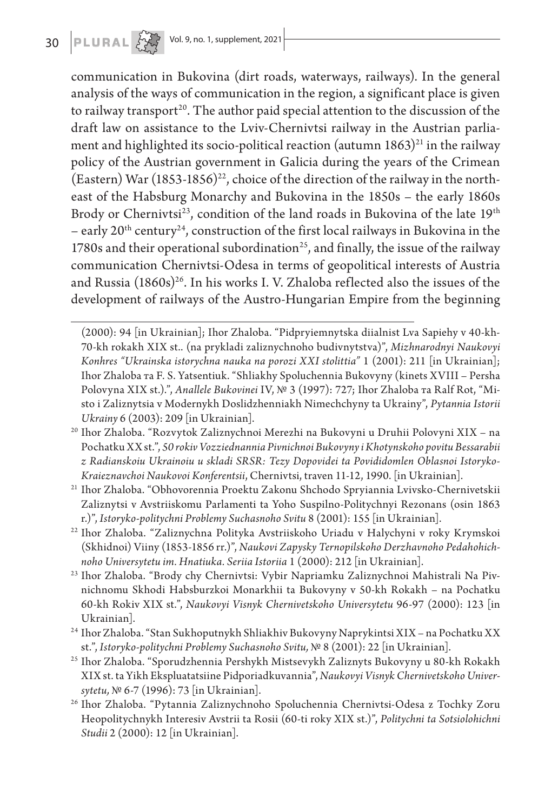communication in Bukovina (dirt roads, waterways, railways). In the general analysis of the ways of communication in the region, a significant place is given to railway transport<sup>20</sup>. The author paid special attention to the discussion of the draft law on assistance to the Lviv-Chernivtsi railway in the Austrian parliament and highlighted its socio-political reaction (autumn  $1863$ )<sup>21</sup> in the railway policy of the Austrian government in Galicia during the years of the Crimean (Eastern) War  $(1853-1856)^{22}$ , choice of the direction of the railway in the northeast of the Habsburg Monarchy and Bukovina in the 1850s – the early 1860s Brody or Chernivtsi<sup>23</sup>, condition of the land roads in Bukovina of the late 19<sup>th</sup> – early  $20<sup>th</sup>$  century<sup>24</sup>, construction of the first local railways in Bukovina in the 1780s and their operational subordination<sup>25</sup>, and finally, the issue of the railway communication Chernivtsi-Odesa in terms of geopolitical interests of Austria and Russia (1860s)<sup>26</sup>. In his works I. V. Zhaloba reflected also the issues of the development of railways of the Austro-Hungarian Empire from the beginning

- <sup>21</sup> Ihor Zhaloba. "Obhovorennia Proektu Zakonu Shchodo Spryiannia Lvivsko-Chernivetskii Zaliznytsi v Avstriiskomu Parlamenti ta Yoho Suspilno-Politychnyi Rezonans (osin 1863 r.)", *Istoryko-politychni Problemy Suchasnoho Svitu* 8 (2001): 155 [in Ukrainian].
- <sup>22</sup> Ihor Zhaloba. "Zaliznychna Polityka Avstriiskoho Uriadu v Halychyni v roky Krymskoi (Skhidnoi) Viiny (1853-1856 rr.)", *Naukovi Zapysky Ternopilskoho Derzhavnoho Pedahohichnoho Universytetu im. Hnatiuka. Seriia Istoriia* 1 (2000): 212 [in Ukrainian].
- <sup>23</sup> Ihor Zhaloba. "Brody chy Chernivtsi: Vybir Napriamku Zaliznychnoi Mahistrali Na Pivnichnomu Skhodi Habsburzkoi Monarkhii ta Bukovyny v 50-kh Rokakh – na Pochatku 60-kh Rokiv ХIХ st.", *Naukovyi Visnyk Chernivetskoho Universytetu* 96-97 (2000): 123 [in Ukrainian].
- <sup>24</sup> Ihor Zhaloba. "Stan Sukhoputnykh Shliakhiv Bukovyny Naprykintsi XIX na Pochatku XX st.", *Istoryko-politychni Problemy Suchasnoho Svitu,* № 8 (2001): 22 [in Ukrainian].
- <sup>25</sup> Ihor Zhaloba. "Sporudzhennia Pershykh Mistsevykh Zaliznyts Bukovyny u 80-kh Rokakh ХIХ st. ta Yikh Ekspluatatsiine Pidporiadkuvannia", *Naukovyi Visnyk Chernivetskoho Universytetu,* № 6-7 (1996): 73 [in Ukrainian].
- <sup>26</sup> Ihor Zhaloba. "Pytannia Zaliznychnoho Spoluchennia Chernivtsi-Odesa z Tochky Zoru Heopolitychnykh Interesiv Avstrii ta Rosii (60-ti roky ХIХ st.)", *Politychni ta Sotsiolohichni Studii* 2 (2000): 12 [in Ukrainian].

<sup>(2000): 94 [</sup>in Ukrainian]; Ihor Zhaloba. "Pidpryiemnytska diialnist Lva Sapiehy v 40-kh-70-kh rokakh ХIХ st.. (na prykladi zaliznychnoho budivnytstva)", *Mizhnarodnyi Naukovyi Konhres "Ukrainska istorychna nauka na porozi XXI stolittia"* 1 (2001): 211 [in Ukrainian]; Ihor Zhaloba та F. S. Yatsentiuk. "Shliakhy Spoluchennia Bukovyny (kinets ХVIII – Persha Polovyna ХIХ st.).", *Anallele Bukovinei* IV, № 3 (1997): 727; Ihor Zhaloba та Ralf Rot, "Misto i Zaliznytsia v Modernykh Doslidzhenniakh Nimechchyny ta Ukrainy", *Pytannia Istorii Ukrainy* 6 (2003): 209 [in Ukrainian].

<sup>20</sup> Ihor Zhaloba. "Rozvytok Zaliznychnoi Merezhi na Bukovyni u Druhii Polovyni ХIХ – na Pochatku ХХ st.", *50 rokiv Vozziednannia Pivnichnoi Bukovyny i Khotynskoho povitu Bessarabii z Radianskoiu Ukrainoiu u skladi SRSR: Tezy Dopovidei ta Povididomlen Oblasnoi Istoryko-Kraieznavchoi Naukovoi Konferentsii*, Chernivtsi, traven 11-12, 1990. [in Ukrainian].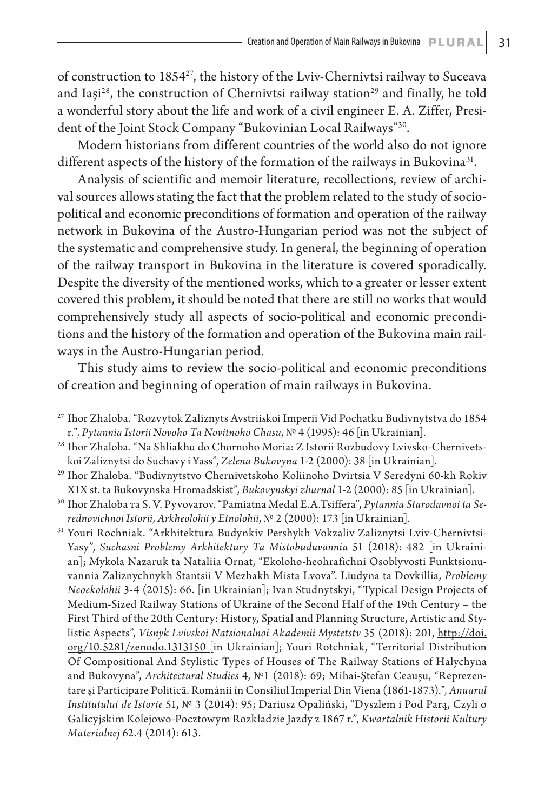of construction to 185427, the history of the Lviv-Chernivtsi railway to Suceava and Iași<sup>28</sup>, the construction of Chernivtsi railway station<sup>29</sup> and finally, he told a wonderful story about the life and work of a civil engineer E. A. Ziffer, President of the Joint Stock Company "Bukovinian Local Railways"30.

Modern historians from different countries of the world also do not ignore different aspects of the history of the formation of the railways in Bukovina<sup>31</sup>.

Analysis of scientific and memoir literature, recollections, review of archival sources allows stating the fact that the problem related to the study of sociopolitical and economic preconditions of formation and operation of the railway network in Bukovina of the Austro-Hungarian period was not the subject of the systematic and comprehensive study. In general, the beginning of operation of the railway transport in Bukovina in the literature is covered sporadically. Despite the diversity of the mentioned works, which to a greater or lesser extent covered this problem, it should be noted that there are still no works that would comprehensively study all aspects of socio-political and economic preconditions and the history of the formation and operation of the Bukovina main railways in the Austro-Hungarian period.

This study aims to review the socio-political and economic preconditions of creation and beginning of operation of main railways in Bukovina.

<sup>27</sup> Ihor Zhaloba. "Rozvytok Zaliznyts Avstriiskoi Imperii Vid Pochatku Budivnytstva do 1854 r.", *Pytannia Istorii Novoho Ta Novitnoho Chasu,* № 4 (1995): 46 [in Ukrainian].

<sup>28</sup> Ihor Zhaloba. "Na Shliakhu do Chornoho Moria: Z Istorii Rozbudovy Lvivsko-Chernivetskoi Zaliznytsi do Suchavy i Yass", *Zelena Bukovyna* 1-2 (2000): 38 [in Ukrainian].

<sup>29</sup> Ihor Zhaloba. "Budivnytstvo Chernivetskoho Koliinoho Dvirtsia V Seredyni 60-kh Rokiv ХІХ st. ta Bukovynska Hromadskist", *Bukovynskyi zhurnal* 1-2 (2000): 85 [in Ukrainian].

<sup>30</sup> Ihor Zhaloba та S. V. Pyvovarov. "Pamiatna Medal E.A.Tsiffera", *Pytannia Starodavnoi ta Serednovichnoi Istorii, Arkheolohii y Etnolohii*, № 2 (2000): 173 [in Ukrainian].

<sup>31</sup> Youri Rochniak. "Arkhitektura Budynkiv Pershykh Vokzaliv Zaliznytsi Lviv-Chernivtsi-Yasy", *Suchasni Problemy Arkhitektury Ta Mistobuduvannia* 51 (2018): 482 [in Ukrainian]; Mykola Nazaruk ta Nataliia Ornat, "Ekoloho-heohrafichni Osoblyvosti Funktsionuvannia Zaliznychnykh Stantsii V Mezhakh Mista Lvova". Liudyna ta Dovkillia, *Problemy Neoekolohii* 3-4 (2015): 66. [in Ukrainian]; Ivan Studnytskyi, "Typical Design Projects of Medium-Sized Railway Stations of Ukraine of the Second Half of the 19th Century – the First Third of the 20th Century: History, Spatial and Planning Structure, Artistic and Stylistic Aspects", *Visnyk Lvivskoi Natsionalnoi Akademii Mystetstv* 35 (2018): 201, http://doi. org/10.5281/zenodo.1313150 [in Ukrainian]; Youri Rotchniak, "Territorial Distribution Of Compositional And Stylistic Types of Houses of The Railway Stations of Halychyna and Bukovyna", *Architectural Studies* 4, №1 (2018): 69; Mihai-Ştefan Ceauşu, "Reprezentare şi Participare Politică. Românii în Consiliul Imperial Din Viena (1861-1873).", *Anuarul Institutului de Istorie* 51, № 3 (2014): 95; Dariusz Opaliński, "Dyszlem i Pod Parą, Czyli o Galicyjskim Kolejowo-Pocztowym Rozkładzie Jazdy z 1867 r.", *Kwartalnik Historii Kultury Materialnej* 62.4 (2014): 613.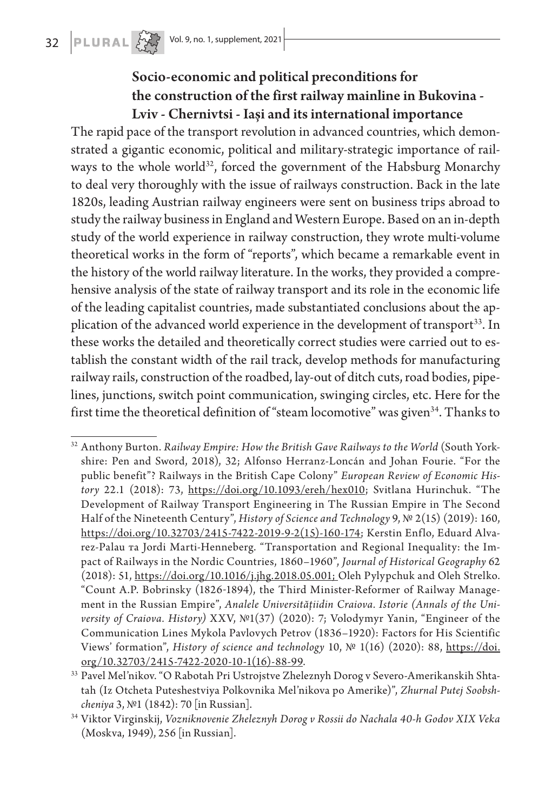### Socio-economic and political preconditions for the construction of the first railway mainline in Bukovina - Lviv - Chernivtsi - Iași and its international importance

The rapid pace of the transport revolution in advanced countries, which demonstrated a gigantic economic, political and military-strategic importance of railways to the whole world<sup>32</sup>, forced the government of the Habsburg Monarchy to deal very thoroughly with the issue of railways construction. Back in the late 1820s, leading Austrian railway engineers were sent on business trips abroad to study the railway business in England and Western Europe. Based on an in-depth study of the world experience in railway construction, they wrote multi-volume theoretical works in the form of "reports", which became a remarkable event in the history of the world railway literature. In the works, they provided a comprehensive analysis of the state of railway transport and its role in the economic life of the leading capitalist countries, made substantiated conclusions about the application of the advanced world experience in the development of transport<sup>33</sup>. In these works the detailed and theoretically correct studies were carried out to establish the constant width of the rail track, develop methods for manufacturing railway rails, construction of the roadbed, lay-out of ditch cuts, road bodies, pipelines, junctions, switch point communication, swinging circles, etc. Here for the first time the theoretical definition of "steam locomotive" was given<sup>34</sup>. Thanks to

<sup>32</sup> Anthony Burton. *Railway Empire: How the British Gave Railways to the World* (South Yorkshire: Pen and Sword, 2018), 32; Alfonso Herranz-Loncán and Johan Fourie. "For the public benefit"? Railways in the British Cape Colony" *European Review of Economic History* 22.1 (2018): 73, https://doi.org/10.1093/ereh/hex010; Svitlana Hurinchuk. "The Development of Railway Transport Engineering in The Russian Empire in The Second Half of the Nineteenth Century", *History of Science and Technology* 9, № 2(15) (2019): 160, https://doi.org/10.32703/2415-7422-2019-9-2(15)-160-174; Kerstin Enflo, Eduard Alvarez-Palau та Jordi Marti-Henneberg. "Transportation and Regional Inequality: the Impact of Railways in the Nordic Countries, 1860–1960", *Journal of Historical Geography* 62 (2018): 51, https://doi.org/10.1016/j.jhg.2018.05.001; Oleh Pylypchuk and Oleh Strelko. "Count A.P. Bobrinsky (1826-1894), the Third Minister-Reformer of Railway Management in the Russian Empire", *Analele Universităţiidin Craiova. Istorie (Annals of the University of Craiova. History)* XXV, №1(37) (2020): 7; Volodymyr Yanin, "Engineer of the Communication Lines Mykola Pavlovych Petrov (1836–1920): Factors for His Scientific Views' formation", *History of science and technology* 10, № 1(16) (2020): 88, https://doi. org/10.32703/2415-7422-2020-10-1(16)-88-99.

<sup>33</sup> Pavel Mel'nikov. "O Rabotah Pri Ustrojstve Zheleznyh Dorog v Severo-Amerikanskih Shtatah (Iz Otcheta Puteshestviya Polkovnika Mel'nikova po Amerike)", *Zhurnal Putej Soobshcheniya* 3, №1 (1842): 70 [in Russian].

<sup>34</sup> Viktor Virginskij, *Vozniknovenie Zheleznyh Dorog v Rossii do Nachala 40-h Godov ХІХ Veka* (Moskva, 1949), 256 [in Russian].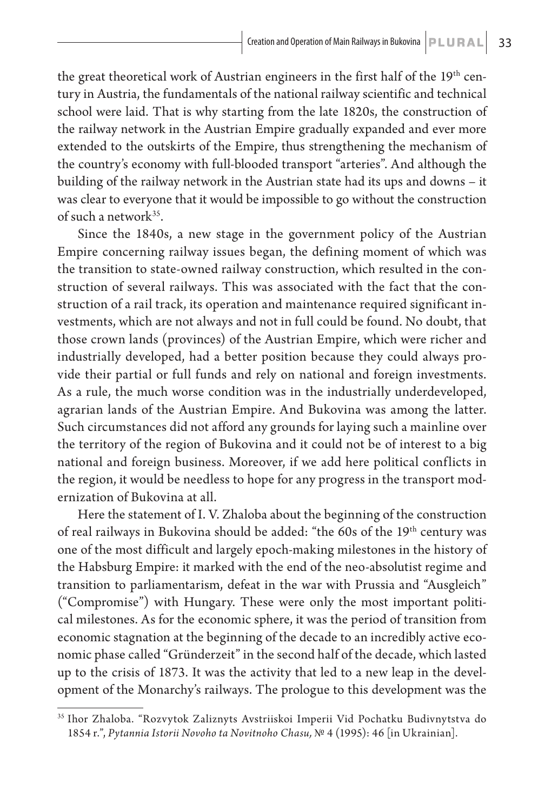the great theoretical work of Austrian engineers in the first half of the 19<sup>th</sup> century in Austria, the fundamentals of the national railway scientific and technical school were laid. That is why starting from the late 1820s, the construction of the railway network in the Austrian Empire gradually expanded and ever more extended to the outskirts of the Empire, thus strengthening the mechanism of the country's economy with full-blooded transport "arteries". And although the building of the railway network in the Austrian state had its ups and downs – it was clear to everyone that it would be impossible to go without the construction of such a network35.

Since the 1840s, a new stage in the government policy of the Austrian Empire concerning railway issues began, the defining moment of which was the transition to state-owned railway construction, which resulted in the construction of several railways. This was associated with the fact that the construction of a rail track, its operation and maintenance required significant investments, which are not always and not in full could be found. No doubt, that those crown lands (provinces) of the Austrian Empire, which were richer and industrially developed, had a better position because they could always provide their partial or full funds and rely on national and foreign investments. As a rule, the much worse condition was in the industrially underdeveloped, agrarian lands of the Austrian Empire. And Bukovina was among the latter. Such circumstances did not afford any grounds for laying such a mainline over the territory of the region of Bukovina and it could not be of interest to a big national and foreign business. Moreover, if we add here political conflicts in the region, it would be needless to hope for any progress in the transport modernization of Bukovina at all.

Here the statement of I. V. Zhaloba about the beginning of the construction of real railways in Bukovina should be added: "the 60s of the 19<sup>th</sup> century was one of the most difficult and largely epoch-making milestones in the history of the Habsburg Empire: it marked with the end of the neo-absolutist regime and transition to parliamentarism, defeat in the war with Prussia and "Ausgleich" ("Compromise") with Hungary. These were only the most important political milestones. As for the economic sphere, it was the period of transition from economic stagnation at the beginning of the decade to an incredibly active economic phase called "Gründerzeit" in the second half of the decade, which lasted up to the crisis of 1873. It was the activity that led to a new leap in the development of the Monarchy's railways. The prologue to this development was the

<sup>35</sup> Ihor Zhaloba. "Rozvytok Zaliznyts Avstriiskoi Imperii Vid Pochatku Budivnytstva do 1854 r.", *Pytannia Istorii Novoho ta Novitnoho Chasu,* № 4 (1995): 46 [in Ukrainian].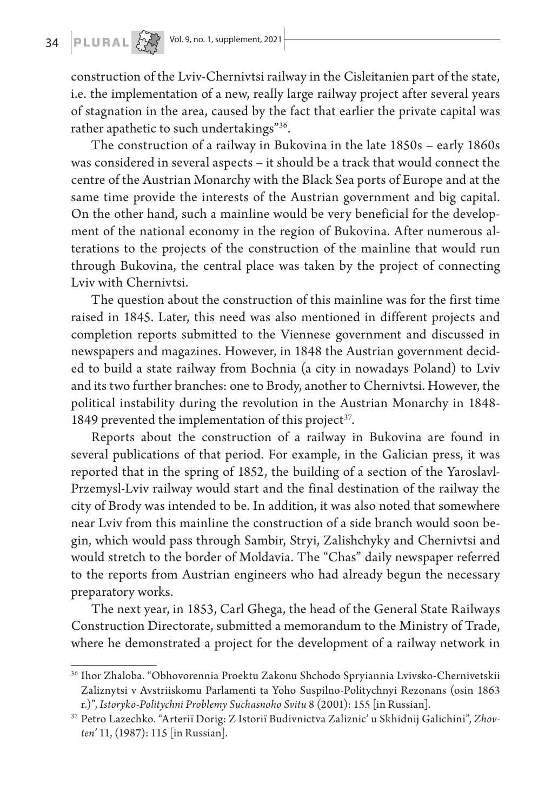## **34 PLURAL**  $\left[\bigcup_{\substack{1 \leq i \leq n \\ 2 \leq i \leq n}} 1\right]$  **Vol. 9, no. 1, supplement, 2021**

construction of the Lviv-Chernivtsi railway in the Cisleitanien part of the state, i.e. the implementation of a new, really large railway project after several years of stagnation in the area, caused by the fact that earlier the private capital was rather apathetic to such undertakings"36.

The construction of a railway in Bukovina in the late 1850s – early 1860s was considered in several aspects – it should be a track that would connect the centre of the Austrian Monarchy with the Black Sea ports of Europe and at the same time provide the interests of the Austrian government and big capital. On the other hand, such a mainline would be very beneficial for the development of the national economy in the region of Bukovina. After numerous alterations to the projects of the construction of the mainline that would run through Bukovina, the central place was taken by the project of connecting Lviv with Chernivtsi.

The question about the construction of this mainline was for the first time raised in 1845. Later, this need was also mentioned in different projects and completion reports submitted to the Viennese government and discussed in newspapers and magazines. However, in 1848 the Austrian government decided to build a state railway from Bochnia (a city in nowadays Poland) to Lviv and its two further branches: one to Brody, another to Chernivtsi. However, the political instability during the revolution in the Austrian Monarchy in 1848- 1849 prevented the implementation of this project<sup>37</sup>.

Reports about the construction of a railway in Bukovina are found in several publications of that period. For example, in the Galician press, it was reported that in the spring of 1852, the building of a section of the Yaroslavl-Przemysl-Lviv railway would start and the final destination of the railway the city of Brody was intended to be. In addition, it was also noted that somewhere near Lviv from this mainline the construction of a side branch would soon begin, which would pass through Sambir, Stryi, Zalishchyky and Chernivtsi and would stretch to the border of Moldavia. The "Chas" daily newspaper referred to the reports from Austrian engineers who had already begun the necessary preparatory works.

The next year, in 1853, Carl Ghega, the head of the General State Railways Construction Directorate, submitted a memorandum to the Ministry of Trade, where he demonstrated a project for the development of a railway network in

<sup>36</sup> Ihor Zhaloba. "Obhovorennia Proektu Zakonu Shchodo Spryiannia Lvivsko-Chernivetskii Zaliznytsi v Avstriiskomu Parlamenti ta Yoho Suspilno-Politychnyi Rezonans (osin 1863 r.)", *Istoryko-Politychni Problemy Suchasnoho Svitu* 8 (2001): 155 [in Russian].

<sup>37</sup> Petro Lazechko. "Arterії Dorіg: Z Іstorії Budіvnictva Zalіznic' u Skhіdnіj Galichinі", *Zhovten'* 11, (1987): 115 [in Russian].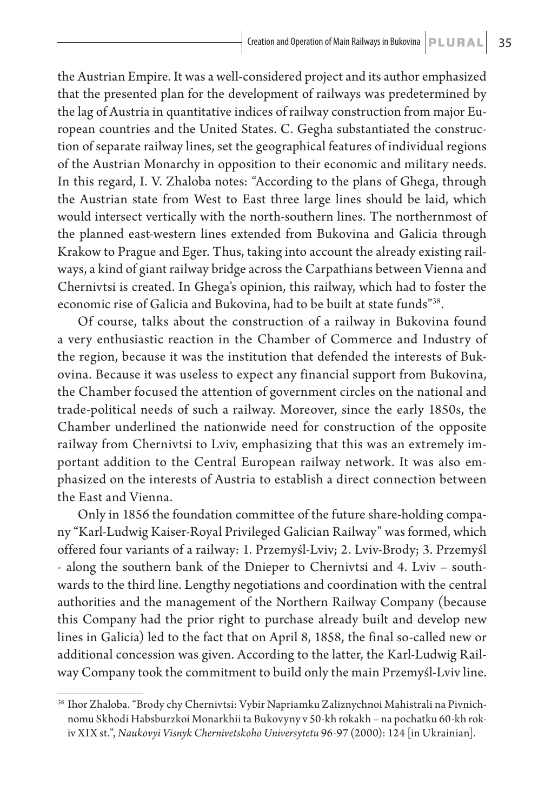the Austrian Empire. It was a well-considered project and its author emphasized that the presented plan for the development of railways was predetermined by the lag of Austria in quantitative indices of railway construction from major European countries and the United States. C. Gegha substantiated the construction of separate railway lines, set the geographical features of individual regions of the Austrian Monarchy in opposition to their economic and military needs. In this regard, I. V. Zhaloba notes: "According to the plans of Ghega, through the Austrian state from West to East three large lines should be laid, which would intersect vertically with the north-southern lines. The northernmost of the planned east-western lines extended from Bukovina and Galicia through Krakow to Prague and Eger. Thus, taking into account the already existing railways, a kind of giant railway bridge across the Carpathians between Vienna and Chernivtsi is created. In Ghega's opinion, this railway, which had to foster the economic rise of Galicia and Bukovina, had to be built at state funds"38.

Of course, talks about the construction of a railway in Bukovina found a very enthusiastic reaction in the Chamber of Commerce and Industry of the region, because it was the institution that defended the interests of Bukovina. Because it was useless to expect any financial support from Bukovina, the Chamber focused the attention of government circles on the national and trade-political needs of such a railway. Moreover, since the early 1850s, the Chamber underlined the nationwide need for construction of the opposite railway from Chernivtsi to Lviv, emphasizing that this was an extremely important addition to the Central European railway network. It was also emphasized on the interests of Austria to establish a direct connection between the East and Vienna.

Only in 1856 the foundation committee of the future share-holding company "Karl-Ludwig Kaiser-Royal Privileged Galician Railway" was formed, which offered four variants of a railway: 1. Przemyśl-Lviv; 2. Lviv-Brody; 3. Przemyśl - along the southern bank of the Dnieper to Chernivtsi and 4. Lviv – southwards to the third line. Lengthy negotiations and coordination with the central authorities and the management of the Northern Railway Company (because this Company had the prior right to purchase already built and develop new lines in Galicia) led to the fact that on April 8, 1858, the final so-called new or additional concession was given. According to the latter, the Karl-Ludwig Railway Company took the commitment to build only the main Przemyśl-Lviv line.

<sup>38</sup> Ihor Zhaloba. "Brody chy Chernivtsi: Vybir Napriamku Zaliznychnoi Mahistrali na Pivnichnomu Skhodi Habsburzkoi Monarkhii ta Bukovyny v 50-kh rokakh – na pochatku 60-kh rokiv ХIХ st.", *Naukovyi Visnyk Chernivetskoho Universytetu* 96-97 (2000): 124 [in Ukrainian].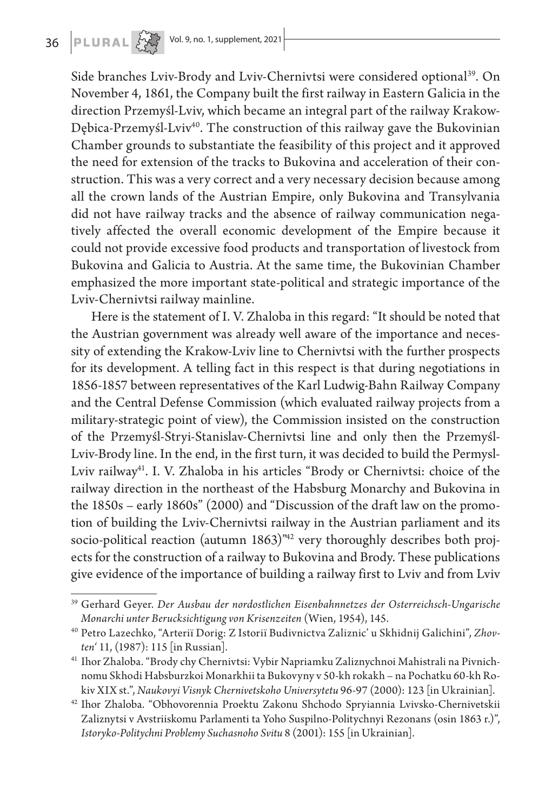

Side branches Lviv-Brody and Lviv-Chernivtsi were considered optional<sup>39</sup>. On November 4, 1861, the Company built the first railway in Eastern Galicia in the direction Przemyśl-Lviv, which became an integral part of the railway Krakow-Dębica-Przemyśl-Lviv<sup>40</sup>. The construction of this railway gave the Bukovinian Chamber grounds to substantiate the feasibility of this project and it approved the need for extension of the tracks to Bukovina and acceleration of their construction. This was a very correct and a very necessary decision because among all the crown lands of the Austrian Empire, only Bukovina and Transylvania did not have railway tracks and the absence of railway communication negatively affected the overall economic development of the Empire because it could not provide excessive food products and transportation of livestock from Bukovina and Galicia to Austria. At the same time, the Bukovinian Chamber emphasized the more important state-political and strategic importance of the Lviv-Chernivtsi railway mainline.

Here is the statement of I. V. Zhaloba in this regard: "It should be noted that the Austrian government was already well aware of the importance and necessity of extending the Krakow-Lviv line to Chernivtsi with the further prospects for its development. A telling fact in this respect is that during negotiations in 1856-1857 between representatives of the Karl Ludwig-Bahn Railway Company and the Central Defense Commission (which evaluated railway projects from a military-strategic point of view), the Commission insisted on the construction of the Przemyśl-Stryi-Stanislav-Chernivtsi line and only then the Przemyśl-Lviv-Brody line. In the end, in the first turn, it was decided to build the Permysl-Lviv railway<sup>41</sup>. I. V. Zhaloba in his articles "Brody or Chernivtsi: choice of the railway direction in the northeast of the Habsburg Monarchy and Bukovina in the 1850s – early 1860s" (2000) and "Discussion of the draft law on the promotion of building the Lviv-Chernivtsi railway in the Austrian parliament and its socio-political reaction (autumn 1863)<sup>"42</sup> very thoroughly describes both projects for the construction of a railway to Bukovina and Brody. These publications give evidence of the importance of building a railway first to Lviv and from Lviv

<sup>39</sup> Gerhard Geyer. *Der Ausbau der nordostlichen Eisenbahnnetzes der Osterreichsch-Ungarische Monarchi unter Berucksichtigung von Krisenzeiten* (Wien, 1954), 145.

<sup>40</sup> Petro Lazechko, "Arterії Dorіg: Z Іstorії Budіvnictva Zalіznic' u Skhіdnіj Galichinі", *Zhovten'* 11, (1987): 115 [in Russian].

<sup>41</sup> Ihor Zhaloba. "Brody chy Chernivtsi: Vybir Napriamku Zaliznychnoi Mahistrali na Pivnichnomu Skhodi Habsburzkoi Monarkhii ta Bukovyny v 50-kh rokakh – na Pochatku 60-kh Rokiv ХIХ st.", *Naukovyi Visnyk Chernivetskoho Universytetu* 96-97 (2000): 123 [in Ukrainian].

<sup>42</sup> Ihor Zhaloba. "Obhovorennia Proektu Zakonu Shchodo Spryiannia Lvivsko-Chernivetskii Zaliznytsi v Avstriiskomu Parlamenti ta Yoho Suspilno-Politychnyi Rezonans (osin 1863 r.)", *Istoryko-Politychni Problemy Suchasnoho Svitu* 8 (2001): 155 [in Ukrainian].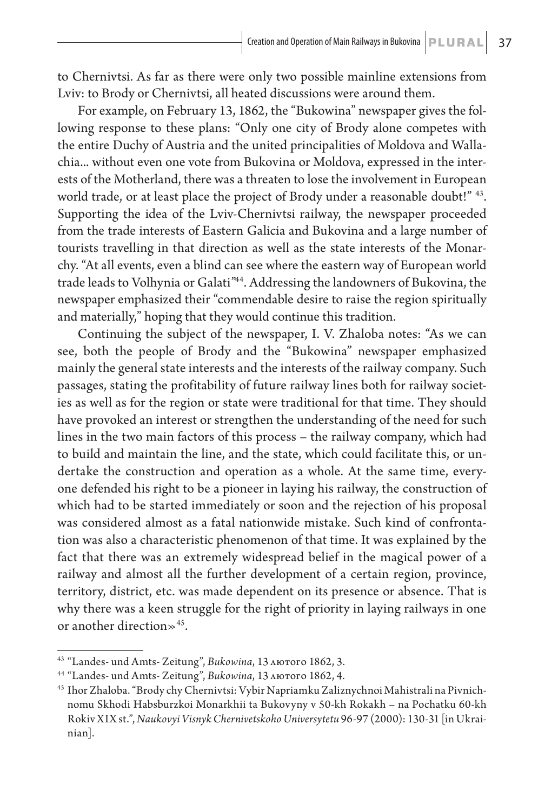to Chernivtsi. As far as there were only two possible mainline extensions from Lviv: to Brody or Chernivtsi, all heated discussions were around them.

For example, on February 13, 1862, the "Bukowina" newspaper gives the following response to these plans: "Only one city of Brody alone competes with the entire Duchy of Austria and the united principalities of Moldova and Wallachia... without even one vote from Bukovina or Moldova, expressed in the interests of the Motherland, there was a threaten to lose the involvement in European world trade, or at least place the project of Brody under a reasonable doubt!" <sup>43</sup>. Supporting the idea of the Lviv-Chernivtsi railway, the newspaper proceeded from the trade interests of Eastern Galicia and Bukovina and a large number of tourists travelling in that direction as well as the state interests of the Monarchy. "At all events, even a blind can see where the eastern way of European world trade leads to Volhynia or Galati"44. Addressing the landowners of Bukovina, the newspaper emphasized their "commendable desire to raise the region spiritually and materially," hoping that they would continue this tradition.

Continuing the subject of the newspaper, I. V. Zhaloba notes: "As we can see, both the people of Brody and the "Bukowina" newspaper emphasized mainly the general state interests and the interests of the railway company. Such passages, stating the profitability of future railway lines both for railway societies as well as for the region or state were traditional for that time. They should have provoked an interest or strengthen the understanding of the need for such lines in the two main factors of this process – the railway company, which had to build and maintain the line, and the state, which could facilitate this, or undertake the construction and operation as a whole. At the same time, everyone defended his right to be a pioneer in laying his railway, the construction of which had to be started immediately or soon and the rejection of his proposal was considered almost as a fatal nationwide mistake. Such kind of confrontation was also a characteristic phenomenon of that time. It was explained by the fact that there was an extremely widespread belief in the magical power of a railway and almost all the further development of a certain region, province, territory, district, etc. was made dependent on its presence or absence. That is why there was a keen struggle for the right of priority in laying railways in one or another direction $\gg$ <sup>45</sup>.

<sup>43</sup> "Landes- und Amts- Zeitung", *Bukowina*, 13 лютого 1862, 3.

<sup>44</sup> "Landes- und Amts- Zeitung", *Bukowina*, 13 лютого 1862, 4.

<sup>45</sup> Ihor Zhaloba. "Brody chy Chernivtsi: Vybir Napriamku Zaliznychnoi Mahistrali na Pivnichnomu Skhodi Habsburzkoi Monarkhii ta Bukovyny v 50-kh Rokakh – na Pochatku 60-kh Rokiv ХIХ st.", *Naukovyi Visnyk Chernivetskoho Universytetu* 96-97 (2000): 130-31 [in Ukrainian].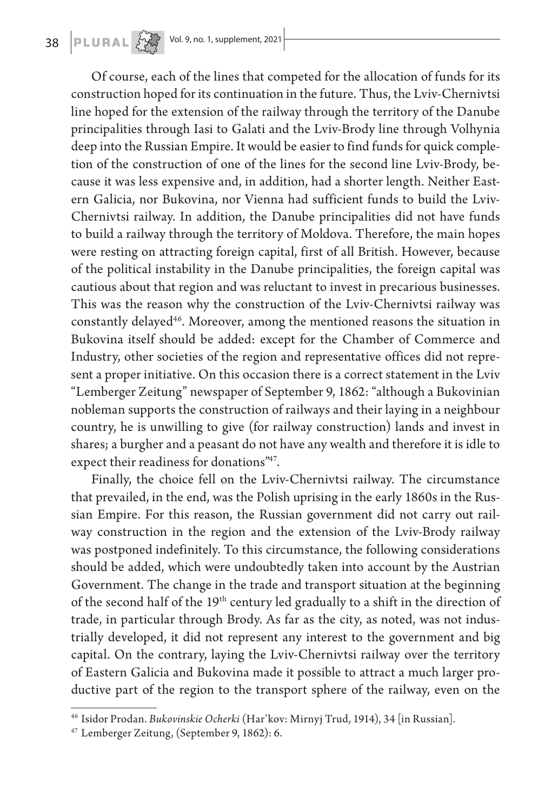### **38 PLURAL 2021** Vol. 9, no. 1, supplement, 2021

Of course, each of the lines that competed for the allocation of funds for its construction hoped for its continuation in the future. Thus, the Lviv-Chernivtsi line hoped for the extension of the railway through the territory of the Danube principalities through Iasi to Galati and the Lviv-Brody line through Volhynia deep into the Russian Empire. It would be easier to find funds for quick completion of the construction of one of the lines for the second line Lviv-Brody, because it was less expensive and, in addition, had a shorter length. Neither Eastern Galicia, nor Bukovina, nor Vienna had sufficient funds to build the Lviv-Chernivtsi railway. In addition, the Danube principalities did not have funds to build a railway through the territory of Moldova. Therefore, the main hopes were resting on attracting foreign capital, first of all British. However, because of the political instability in the Danube principalities, the foreign capital was cautious about that region and was reluctant to invest in precarious businesses. This was the reason why the construction of the Lviv-Chernivtsi railway was constantly delayed46. Moreover, among the mentioned reasons the situation in Bukovina itself should be added: except for the Chamber of Commerce and Industry, other societies of the region and representative offices did not represent a proper initiative. On this occasion there is a correct statement in the Lviv "Lemberger Zeitung" newspaper of September 9, 1862: "although a Bukovinian nobleman supports the construction of railways and their laying in a neighbour country, he is unwilling to give (for railway construction) lands and invest in shares; a burgher and a peasant do not have any wealth and therefore it is idle to expect their readiness for donations"47.

Finally, the choice fell on the Lviv-Chernivtsi railway. The circumstance that prevailed, in the end, was the Polish uprising in the early 1860s in the Russian Empire. For this reason, the Russian government did not carry out railway construction in the region and the extension of the Lviv-Brody railway was postponed indefinitely. To this circumstance, the following considerations should be added, which were undoubtedly taken into account by the Austrian Government. The change in the trade and transport situation at the beginning of the second half of the 19<sup>th</sup> century led gradually to a shift in the direction of trade, in particular through Brody. As far as the city, as noted, was not industrially developed, it did not represent any interest to the government and big capital. On the contrary, laying the Lviv-Chernivtsi railway over the territory of Eastern Galicia and Bukovina made it possible to attract a much larger productive part of the region to the transport sphere of the railway, even on the

<sup>46</sup> Isidor Prodan. *Bukovinskie Ocherki* (Har'kov: Mirnyj Trud, 1914), 34 [in Russian].

<sup>47</sup> Lemberger Zeitung, (September 9, 1862): 6.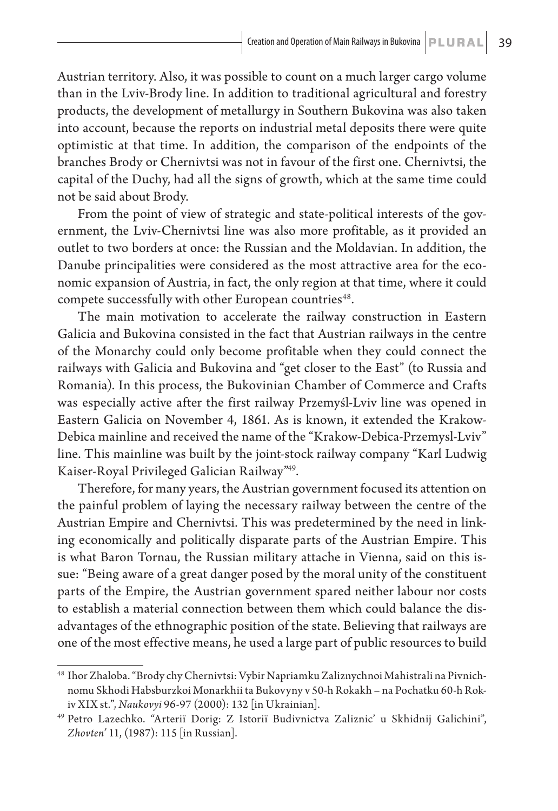Austrian territory. Also, it was possible to count on a much larger cargo volume than in the Lviv-Brody line. In addition to traditional agricultural and forestry products, the development of metallurgy in Southern Bukovina was also taken into account, because the reports on industrial metal deposits there were quite optimistic at that time. In addition, the comparison of the endpoints of the branches Brody or Chernivtsi was not in favour of the first one. Chernivtsi, the capital of the Duchy, had all the signs of growth, which at the same time could not be said about Brody.

From the point of view of strategic and state-political interests of the government, the Lviv-Chernivtsi line was also more profitable, as it provided an outlet to two borders at once: the Russian and the Moldavian. In addition, the Danube principalities were considered as the most attractive area for the economic expansion of Austria, in fact, the only region at that time, where it could compete successfully with other European countries<sup>48</sup>.

The main motivation to accelerate the railway construction in Eastern Galicia and Bukovina consisted in the fact that Austrian railways in the centre of the Monarchy could only become profitable when they could connect the railways with Galicia and Bukovina and "get closer to the East" (to Russia and Romania). In this process, the Bukovinian Chamber of Commerce and Crafts was especially active after the first railway Przemyśl-Lviv line was opened in Eastern Galicia on November 4, 1861. As is known, it extended the Krakow-Debica mainline and received the name of the "Krakow-Debica-Przemysl-Lviv" line. This mainline was built by the joint-stock railway company "Karl Ludwig Kaiser-Royal Privileged Galician Railway"49.

Therefore, for many years, the Austrian government focused its attention on the painful problem of laying the necessary railway between the centre of the Austrian Empire and Chernivtsi. This was predetermined by the need in linking economically and politically disparate parts of the Austrian Empire. This is what Baron Tornau, the Russian military attache in Vienna, said on this issue: "Being aware of a great danger posed by the moral unity of the constituent parts of the Empire, the Austrian government spared neither labour nor costs to establish a material connection between them which could balance the disadvantages of the ethnographic position of the state. Believing that railways are one of the most effective means, he used a large part of public resources to build

<sup>48</sup> Ihor Zhaloba. "Brody chy Chernivtsi: Vybir Napriamku Zaliznychnoi Mahistrali na Pivnichnomu Skhodi Habsburzkoi Monarkhii ta Bukovyny v 50-h Rokakh – na Pochatku 60-h Rokiv ХIХ st.", *Naukovyi* 96-97 (2000): 132 [in Ukrainian].

<sup>49</sup> Petro Lazechko. "Arterії Dorіg: Z Іstorії Budіvnictva Zalіznic' u Skhіdnіj Galichinі", *Zhovten'* 11, (1987): 115 [in Russian].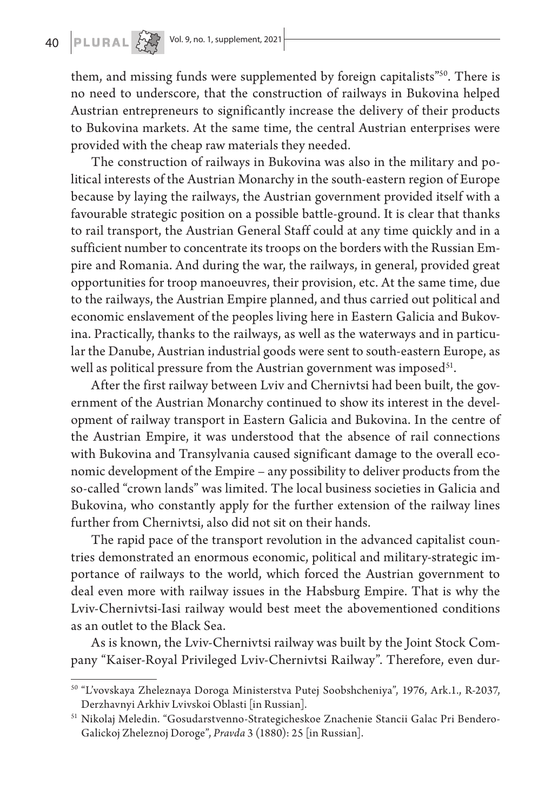them, and missing funds were supplemented by foreign capitalists<sup>"50</sup>. There is no need to underscore, that the construction of railways in Bukovina helped Austrian entrepreneurs to significantly increase the delivery of their products to Bukovina markets. At the same time, the central Austrian enterprises were provided with the cheap raw materials they needed.

The construction of railways in Bukovina was also in the military and political interests of the Austrian Monarchy in the south-eastern region of Europe because by laying the railways, the Austrian government provided itself with a favourable strategic position on a possible battle-ground. It is clear that thanks to rail transport, the Austrian General Staff could at any time quickly and in a sufficient number to concentrate its troops on the borders with the Russian Empire and Romania. And during the war, the railways, in general, provided great opportunities for troop manoeuvres, their provision, etc. At the same time, due to the railways, the Austrian Empire planned, and thus carried out political and economic enslavement of the peoples living here in Eastern Galicia and Bukovina. Practically, thanks to the railways, as well as the waterways and in particular the Danube, Austrian industrial goods were sent to south-eastern Europe, as well as political pressure from the Austrian government was imposed $51$ .

After the first railway between Lviv and Chernivtsi had been built, the government of the Austrian Monarchy continued to show its interest in the development of railway transport in Eastern Galicia and Bukovina. In the centre of the Austrian Empire, it was understood that the absence of rail connections with Bukovina and Transylvania caused significant damage to the overall economic development of the Empire – any possibility to deliver products from the so-called "crown lands" was limited. The local business societies in Galicia and Bukovina, who constantly apply for the further extension of the railway lines further from Chernivtsi, also did not sit on their hands.

The rapid pace of the transport revolution in the advanced capitalist countries demonstrated an enormous economic, political and military-strategic importance of railways to the world, which forced the Austrian government to deal even more with railway issues in the Habsburg Empire. That is why the Lviv-Chernivtsi-Iasi railway would best meet the abovementioned conditions as an outlet to the Black Sea.

As is known, the Lviv-Chernivtsi railway was built by the Joint Stock Company "Kaiser-Royal Privileged Lviv-Chernivtsi Railway". Therefore, even dur-

<sup>50</sup> "L'vovskaya Zheleznaya Doroga Ministerstva Putej Soobshcheniya", 1976, Ark.1., R-2037, Derzhavnyi Arkhiv Lvivskoi Oblasti [in Russian].

<sup>51</sup> Nikolaj Meledin. "Gosudarstvenno-Strategicheskoe Znachenie Stancii Galac Pri Bendero-Galickoj Zheleznoj Doroge", *Pravda* 3 (1880): 25 [in Russian].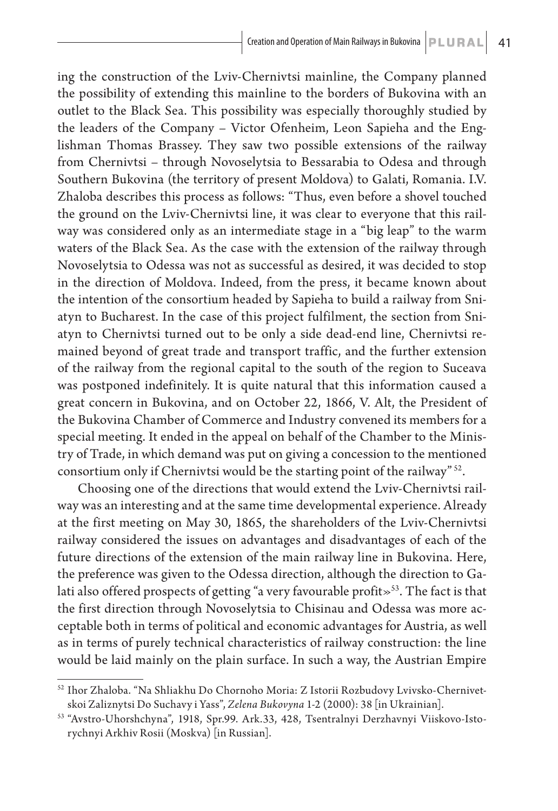ing the construction of the Lviv-Chernivtsi mainline, the Company planned the possibility of extending this mainline to the borders of Bukovina with an outlet to the Black Sea. This possibility was especially thoroughly studied by the leaders of the Company – Victor Ofenheim, Leon Sapieha and the Englishman Thomas Brassey. They saw two possible extensions of the railway from Chernivtsi – through Novoselytsia to Bessarabia to Odesa and through Southern Bukovina (the territory of present Moldova) to Galati, Romania. I.V. Zhaloba describes this process as follows: "Thus, even before a shovel touched the ground on the Lviv-Chernivtsi line, it was clear to everyone that this railway was considered only as an intermediate stage in a "big leap" to the warm waters of the Black Sea. As the case with the extension of the railway through Novoselytsia to Odessa was not as successful as desired, it was decided to stop in the direction of Moldova. Indeed, from the press, it became known about the intention of the consortium headed by Sapieha to build a railway from Sniatyn to Bucharest. In the case of this project fulfilment, the section from Sniatyn to Chernivtsi turned out to be only a side dead-end line, Chernivtsi remained beyond of great trade and transport traffic, and the further extension of the railway from the regional capital to the south of the region to Suceava was postponed indefinitely. It is quite natural that this information caused a great concern in Bukovina, and on October 22, 1866, V. Alt, the President of the Bukovina Chamber of Commerce and Industry convened its members for a special meeting. It ended in the appeal on behalf of the Chamber to the Ministry of Trade, in which demand was put on giving a concession to the mentioned consortium only if Chernivtsi would be the starting point of the railway" 52.

Choosing one of the directions that would extend the Lviv-Chernivtsi railway was an interesting and at the same time developmental experience. Already at the first meeting on May 30, 1865, the shareholders of the Lviv-Chernivtsi railway considered the issues on advantages and disadvantages of each of the future directions of the extension of the main railway line in Bukovina. Here, the preference was given to the Odessa direction, although the direction to Galati also offered prospects of getting "a very favourable profit $\gg$ <sup>53</sup>. The fact is that the first direction through Novoselytsia to Chisinau and Odessa was more acceptable both in terms of political and economic advantages for Austria, as well as in terms of purely technical characteristics of railway construction: the line would be laid mainly on the plain surface. In such a way, the Austrian Empire

<sup>52</sup> Ihor Zhaloba. "Na Shliakhu Do Chornoho Moria: Z Istorii Rozbudovy Lvivsko-Chernivetskoi Zaliznytsi Do Suchavy i Yass", *Zelena Bukovyna* 1-2 (2000): 38 [in Ukrainian].

<sup>53</sup> "Avstro-Uhorshchyna", 1918, Spr.99. Ark.33, 428, Tsentralnyi Derzhavnyi Viiskovo-Istorychnyi Arkhiv Rosii (Moskva) [in Russian].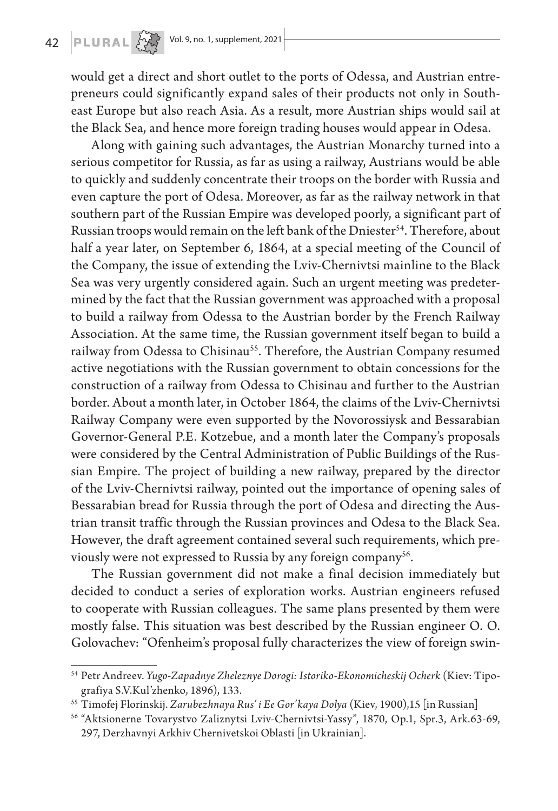## 42 **PLURAL**  $\left[\sqrt{\frac{N}{2N}}\right]$  Vol. 9, no. 1, supplement, 2021

would get a direct and short outlet to the ports of Odessa, and Austrian entrepreneurs could significantly expand sales of their products not only in Southeast Europe but also reach Asia. As a result, more Austrian ships would sail at the Black Sea, and hence more foreign trading houses would appear in Odesa.

Along with gaining such advantages, the Austrian Monarchy turned into a serious competitor for Russia, as far as using a railway, Austrians would be able to quickly and suddenly concentrate their troops on the border with Russia and even capture the port of Odesa. Moreover, as far as the railway network in that southern part of the Russian Empire was developed poorly, a significant part of Russian troops would remain on the left bank of the Dniester<sup>54</sup>. Therefore, about half a year later, on September 6, 1864, at a special meeting of the Council of the Company, the issue of extending the Lviv-Chernivtsi mainline to the Black Sea was very urgently considered again. Such an urgent meeting was predetermined by the fact that the Russian government was approached with a proposal to build a railway from Odessa to the Austrian border by the French Railway Association. At the same time, the Russian government itself began to build a railway from Odessa to Chisinau<sup>55</sup>. Therefore, the Austrian Company resumed active negotiations with the Russian government to obtain concessions for the construction of a railway from Odessa to Chisinau and further to the Austrian border. About a month later, in October 1864, the claims of the Lviv-Chernivtsi Railway Company were even supported by the Novorossiysk and Bessarabian Governor-General P.E. Kotzebue, and a month later the Company's proposals were considered by the Central Administration of Public Buildings of the Russian Empire. The project of building a new railway, prepared by the director of the Lviv-Chernivtsi railway, pointed out the importance of opening sales of Bessarabian bread for Russia through the port of Odesa and directing the Austrian transit traffic through the Russian provinces and Odesa to the Black Sea. However, the draft agreement contained several such requirements, which previously were not expressed to Russia by any foreign company<sup>56</sup>.

The Russian government did not make a final decision immediately but decided to conduct a series of exploration works. Austrian engineers refused to cooperate with Russian colleagues. The same plans presented by them were mostly false. This situation was best described by the Russian engineer O. O. Golovachev: "Ofenheim's proposal fully characterizes the view of foreign swin-

<sup>54</sup> Petr Andreev. *Yugo-Zapadnye Zheleznye Dorogi: Istoriko-Ekonomicheskij Ocherk* (Kiev: Tipografiya S.V.Kul'zhenko, 1896), 133.

<sup>55</sup> Timofej Florinskij. *Zarubezhnaya Rus' i Ee Gor'kaya Dolya* (Kiev, 1900),15 [in Russian]

<sup>56</sup> "Aktsionerne Tovarystvo Zaliznytsi Lviv-Chernivtsi-Yassy", 1870, Op.1, Spr.3, Ark.63-69, 297, Derzhavnyi Arkhiv Chernivetskoi Oblasti [in Ukrainian].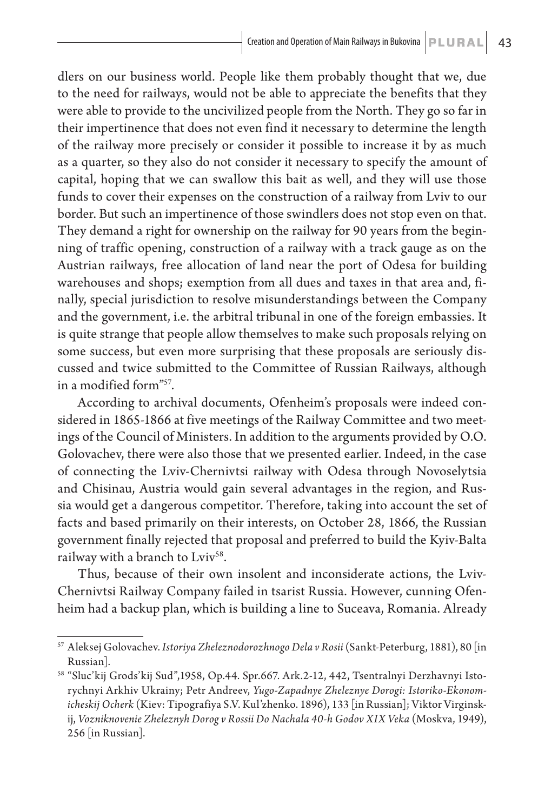dlers on our business world. People like them probably thought that we, due to the need for railways, would not be able to appreciate the benefits that they were able to provide to the uncivilized people from the North. They go so far in their impertinence that does not even find it necessary to determine the length of the railway more precisely or consider it possible to increase it by as much as a quarter, so they also do not consider it necessary to specify the amount of capital, hoping that we can swallow this bait as well, and they will use those funds to cover their expenses on the construction of a railway from Lviv to our border. But such an impertinence of those swindlers does not stop even on that. They demand a right for ownership on the railway for 90 years from the beginning of traffic opening, construction of a railway with a track gauge as on the Austrian railways, free allocation of land near the port of Odesa for building warehouses and shops; exemption from all dues and taxes in that area and, finally, special jurisdiction to resolve misunderstandings between the Company and the government, i.e. the arbitral tribunal in one of the foreign embassies. It is quite strange that people allow themselves to make such proposals relying on some success, but even more surprising that these proposals are seriously discussed and twice submitted to the Committee of Russian Railways, although in a modified form"57.

According to archival documents, Ofenheim's proposals were indeed considered in 1865-1866 at five meetings of the Railway Committee and two meetings of the Council of Ministers. In addition to the arguments provided by O.O. Golovachev, there were also those that we presented earlier. Indeed, in the case of connecting the Lviv-Chernivtsi railway with Odesa through Novoselytsia and Chisinau, Austria would gain several advantages in the region, and Russia would get a dangerous competitor. Therefore, taking into account the set of facts and based primarily on their interests, on October 28, 1866, the Russian government finally rejected that proposal and preferred to build the Kyiv-Balta railway with a branch to Lviv<sup>58</sup>.

Thus, because of their own insolent and inconsiderate actions, the Lviv-Chernivtsi Railway Company failed in tsarist Russia. However, cunning Ofenheim had a backup plan, which is building a line to Suceava, Romania. Already

<sup>57</sup> Aleksej Golovachev. *Istoriya Zheleznodorozhnogo Dela v Rosii* (Sankt-Peterburg, 1881), 80 [in Russian].

<sup>58</sup> "Sluc'kij Grods'kij Sud",1958, Op.44. Spr.667. Ark.2-12, 442, Tsentralnyi Derzhavnyi Istorychnyi Arkhiv Ukrainy; Petr Andreev, *Yugo-Zapadnye Zheleznye Dorogi: Istoriko-Ekonomicheskij Ocherk* (Kiev: Tipografiya S.V. Kul'zhenko. 1896), 133 [in Russian]; Viktor Virginskij, *Vozniknovenie Zheleznyh Dorog v Rossii Do Nachala 40-h Godov ХІХ Veka* (Moskva, 1949), 256 [in Russian].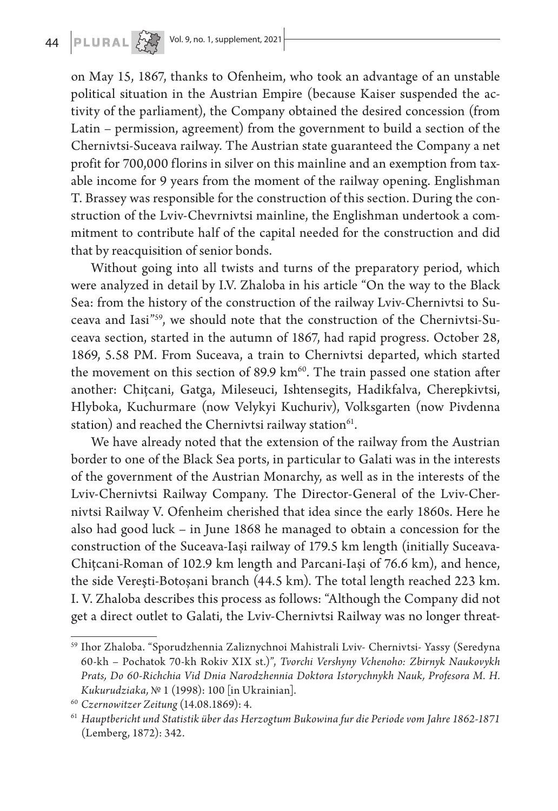

on May 15, 1867, thanks to Ofenheim, who took an advantage of an unstable political situation in the Austrian Empire (because Kaiser suspended the activity of the parliament), the Company obtained the desired concession (from Latin – permission, agreement) from the government to build a section of the Chernivtsi-Suceava railway. The Austrian state guaranteed the Company a net profit for 700,000 florins in silver on this mainline and an exemption from taxable income for 9 years from the moment of the railway opening. Englishman T. Brassey was responsible for the construction of this section. During the construction of the Lviv-Chevrnivtsi mainline, the Englishman undertook a commitment to contribute half of the capital needed for the construction and did that by reacquisition of senior bonds.

Without going into all twists and turns of the preparatory period, which were analyzed in detail by I.V. Zhaloba in his article "On the way to the Black Sea: from the history of the construction of the railway Lviv-Chernivtsi to Suceava and Iasi"59, we should note that the construction of the Chernivtsi-Suceava section, started in the autumn of 1867, had rapid progress. October 28, 1869, 5.58 PM. From Suceava, a train to Chernivtsi departed, which started the movement on this section of 89.9  $km<sup>60</sup>$ . The train passed one station after another: Chițcani, Gatga, Mileseuci, Ishtensegits, Hadikfalva, Cherepkivtsi, Hlyboka, Kuchurmare (now Velykyi Kuchuriv), Volksgarten (now Pivdenna station) and reached the Chernivtsi railway station $61$ .

We have already noted that the extension of the railway from the Austrian border to one of the Black Sea ports, in particular to Galati was in the interests of the government of the Austrian Monarchy, as well as in the interests of the Lviv-Chernivtsi Railway Company. The Director-General of the Lviv-Chernivtsi Railway V. Ofenheim cherished that idea since the early 1860s. Here he also had good luck – in June 1868 he managed to obtain a concession for the construction of the Suceava-Iași railway of 179.5 km length (initially Suceava-Chițcani-Roman of 102.9 km length and Parcani-Iași of 76.6 km), and hence, the side Vereşti-Botoșani branch (44.5 km). The total length reached 223 km. І. V. Zhaloba describes this process as follows: "Although the Company did not get a direct outlet to Galati, the Lviv-Chernivtsi Railway was no longer threat-

<sup>59</sup> Ihor Zhaloba. "Sporudzhennia Zaliznychnoi Mahistrali Lviv- Chernivtsi- Yassy (Seredyna 60-kh – Pochatok 70-kh Rokiv ХIХ st.)", *Tvorchi Vershyny Vchenoho: Zbirnyk Naukovykh Prats, Do 60-Richchia Vid Dnia Narodzhennia Doktora Istorychnykh Nauk, Profesora M. H. Kukurudziaka,* № 1 (1998): 100 [in Ukrainian].

<sup>60</sup> *Czernowitzer Zeitung* (14.08.1869): 4.

<sup>61</sup> *Hauptbericht und Statistik über das Herzogtum Bukowina fur die Periode vom Jahre 1862-1871* (Lemberg, 1872): 342.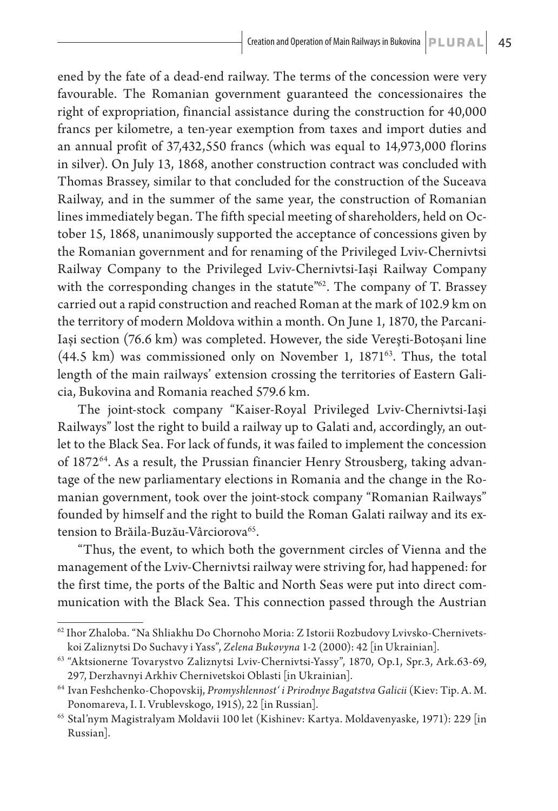ened by the fate of a dead-end railway. The terms of the concession were very favourable. The Romanian government guaranteed the concessionaires the right of expropriation, financial assistance during the construction for 40,000 francs per kilometre, a ten-year exemption from taxes and import duties and an annual profit of 37,432,550 francs (which was equal to 14,973,000 florins in silver). On July 13, 1868, another construction contract was concluded with Thomas Brassey, similar to that concluded for the construction of the Suceava Railway, and in the summer of the same year, the construction of Romanian lines immediately began. The fifth special meeting of shareholders, held on October 15, 1868, unanimously supported the acceptance of concessions given by the Romanian government and for renaming of the Privileged Lviv-Chernivtsi Railway Company to the Privileged Lviv-Chernivtsi-Iași Railway Company with the corresponding changes in the statute<sup>"62</sup>. The company of T. Brassey carried out a rapid construction and reached Roman at the mark of 102.9 km on the territory of modern Moldova within a month. On June 1, 1870, the Parcani-Iași section (76.6 km) was completed. However, the side Vereşti-Botoșani line  $(44.5 \text{ km})$  was commissioned only on November 1,  $1871^{63}$ . Thus, the total length of the main railways' extension crossing the territories of Eastern Galicia, Bukovina and Romania reached 579.6 km.

The joint-stock company "Kaiser-Royal Privileged Lviv-Chernivtsi-Iași Railways" lost the right to build a railway up to Galati and, accordingly, an outlet to the Black Sea. For lack of funds, it was failed to implement the concession of 187264. As a result, the Prussian financier Henry Strousberg, taking advantage of the new parliamentary elections in Romania and the change in the Romanian government, took over the joint-stock company "Romanian Railways" founded by himself and the right to build the Roman Galati railway and its extension to Brăila-Buzău-Vârciorova<sup>65</sup>.

"Thus, the event, to which both the government circles of Vienna and the management of the Lviv-Chernivtsi railway were striving for, had happened: for the first time, the ports of the Baltic and North Seas were put into direct communication with the Black Sea. This connection passed through the Austrian

<sup>62</sup> Ihor Zhaloba. "Na Shliakhu Do Chornoho Moria: Z Istorii Rozbudovy Lvivsko-Chernivetskoi Zaliznytsi Do Suchavy i Yass", *Zelena Bukovyna* 1-2 (2000): 42 [in Ukrainian].

<sup>63</sup> "Aktsionerne Tovarystvo Zaliznytsi Lviv-Chernivtsi-Yassy", 1870, Op.1, Spr.3, Ark.63-69, 297, Derzhavnyi Arkhiv Chernivetskoi Oblasti [in Ukrainian].

<sup>64</sup> Ivan Feshchenko-Chopovskij, *Promyshlennost' i Prirodnye Bagatstva Galicii* (Kiev: Tip. A. M. Ponomareva, I. I. Vrublevskogo, 1915), 22 [in Russian].

<sup>65</sup> Stal'nym Magistralyam Moldavii 100 let (Kishinev: Kartya. Moldavenyaske, 1971): 229 [in Russian].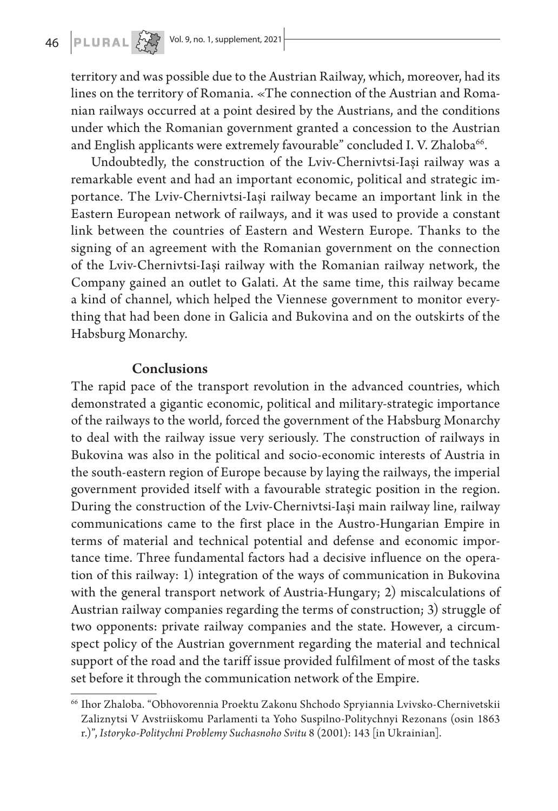territory and was possible due to the Austrian Railway, which, moreover, had its lines on the territory of Romania. «The connection of the Austrian and Romanian railways occurred at a point desired by the Austrians, and the conditions under which the Romanian government granted a concession to the Austrian and English applicants were extremely favourable" concluded I.V. Zhaloba<sup>66</sup>.

Undoubtedly, the construction of the Lviv-Chernivtsi-Iași railway was a remarkable event and had an important economic, political and strategic importance. The Lviv-Chernivtsi-Iași railway became an important link in the Eastern European network of railways, and it was used to provide a constant link between the countries of Eastern and Western Europe. Thanks to the signing of an agreement with the Romanian government on the connection of the Lviv-Chernivtsi-Iași railway with the Romanian railway network, the Company gained an outlet to Galati. At the same time, this railway became a kind of channel, which helped the Viennese government to monitor everything that had been done in Galicia and Bukovina and on the outskirts of the Habsburg Monarchy.

#### Conclusions

The rapid pace of the transport revolution in the advanced countries, which demonstrated a gigantic economic, political and military-strategic importance of the railways to the world, forced the government of the Habsburg Monarchy to deal with the railway issue very seriously. The construction of railways in Bukovina was also in the political and socio-economic interests of Austria in the south-eastern region of Europe because by laying the railways, the imperial government provided itself with a favourable strategic position in the region. During the construction of the Lviv-Chernivtsi-Iași main railway line, railway communications came to the first place in the Austro-Hungarian Empire in terms of material and technical potential and defense and economic importance time. Three fundamental factors had a decisive influence on the operation of this railway: 1) integration of the ways of communication in Bukovina with the general transport network of Austria-Hungary; 2) miscalculations of Austrian railway companies regarding the terms of construction; 3) struggle of two opponents: private railway companies and the state. However, a circumspect policy of the Austrian government regarding the material and technical support of the road and the tariff issue provided fulfilment of most of the tasks set before it through the communication network of the Empire.

<sup>66</sup> Ihor Zhaloba. "Obhovorennia Proektu Zakonu Shchodo Spryiannia Lvivsko-Chernivetskii Zaliznytsi V Avstriiskomu Parlamenti ta Yoho Suspilno-Politychnyi Rezonans (osin 1863 r.)", *Istoryko-Politychni Problemy Suchasnoho Svitu* 8 (2001): 143 [in Ukrainian].